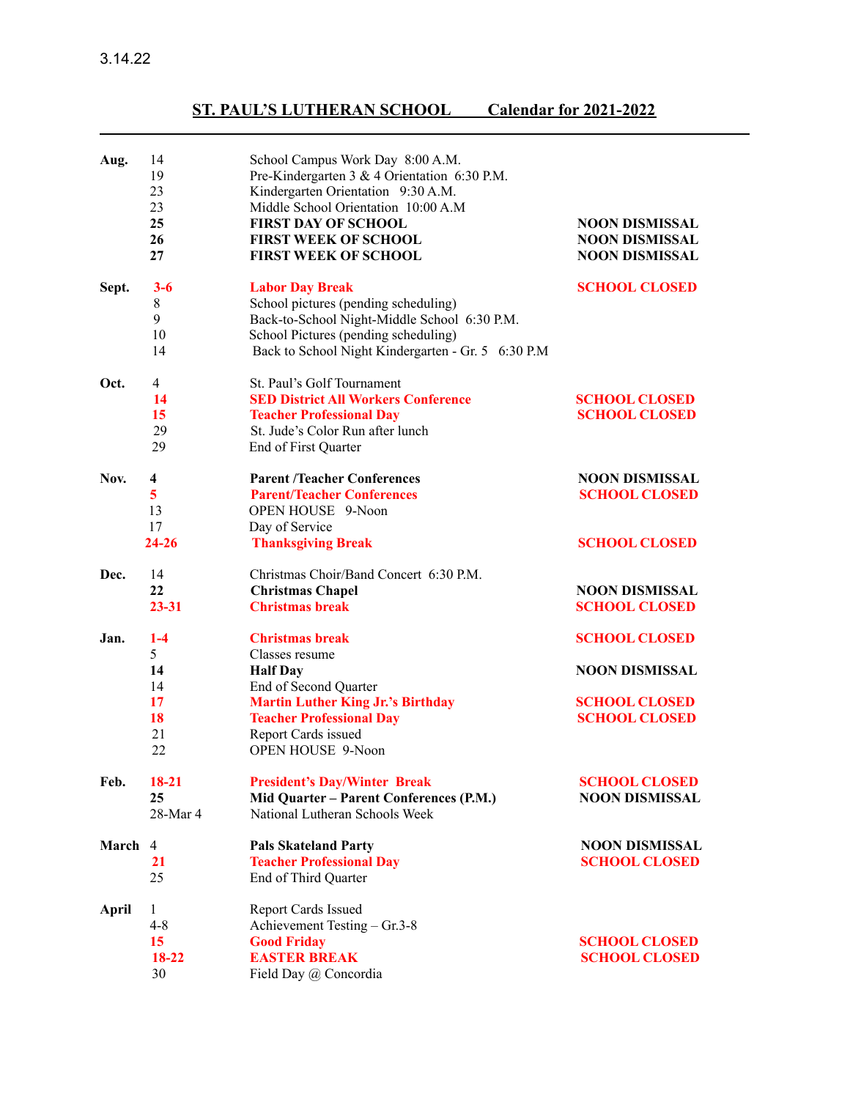3.14.22

## **ST. PAUL'S LUTHERAN SCHOOL Calendar for 2021-2022**

| Aug.    | 14<br>19<br>23<br>23<br>25<br>26<br>27                        | School Campus Work Day 8:00 A.M.<br>Pre-Kindergarten 3 & 4 Orientation 6:30 P.M.<br>Kindergarten Orientation 9:30 A.M.<br>Middle School Orientation 10:00 A.M<br><b>FIRST DAY OF SCHOOL</b><br><b>FIRST WEEK OF SCHOOL</b><br><b>FIRST WEEK OF SCHOOL</b> | <b>NOON DISMISSAL</b><br><b>NOON DISMISSAL</b><br><b>NOON DISMISSAL</b>                       |
|---------|---------------------------------------------------------------|-----------------------------------------------------------------------------------------------------------------------------------------------------------------------------------------------------------------------------------------------------------|-----------------------------------------------------------------------------------------------|
| Sept.   | $3 - 6$<br>8<br>9<br>10<br>14                                 | <b>Labor Day Break</b><br>School pictures (pending scheduling)<br>Back-to-School Night-Middle School 6:30 P.M.<br>School Pictures (pending scheduling)<br>Back to School Night Kindergarten - Gr. 5 6:30 P.M                                              | <b>SCHOOL CLOSED</b>                                                                          |
| Oct.    | $\overline{4}$<br>14<br>15<br>29<br>29                        | St. Paul's Golf Tournament<br><b>SED District All Workers Conference</b><br><b>Teacher Professional Day</b><br>St. Jude's Color Run after lunch<br>End of First Quarter                                                                                   | <b>SCHOOL CLOSED</b><br><b>SCHOOL CLOSED</b>                                                  |
| Nov.    | 4<br>5<br>13<br>17<br>$24 - 26$                               | <b>Parent /Teacher Conferences</b><br><b>Parent/Teacher Conferences</b><br><b>OPEN HOUSE</b> 9-Noon<br>Day of Service<br><b>Thanksgiving Break</b>                                                                                                        | <b>NOON DISMISSAL</b><br><b>SCHOOL CLOSED</b><br><b>SCHOOL CLOSED</b>                         |
| Dec.    | 14<br>22<br>$23 - 31$                                         | Christmas Choir/Band Concert 6:30 P.M.<br><b>Christmas Chapel</b><br><b>Christmas break</b>                                                                                                                                                               | <b>NOON DISMISSAL</b><br><b>SCHOOL CLOSED</b>                                                 |
| Jan.    | $1 - 4$<br>5 <sup>1</sup><br>14<br>14<br>17<br>18<br>21<br>22 | <b>Christmas break</b><br>Classes resume<br><b>Half Day</b><br>End of Second Quarter<br><b>Martin Luther King Jr.'s Birthday</b><br><b>Teacher Professional Day</b><br>Report Cards issued<br><b>OPEN HOUSE 9-Noon</b>                                    | <b>SCHOOL CLOSED</b><br><b>NOON DISMISSAL</b><br><b>SCHOOL CLOSED</b><br><b>SCHOOL CLOSED</b> |
| Feb.    | $18 - 21$<br>25<br>28-Mar 4                                   | <b>President's Day/Winter Break</b><br>Mid Quarter - Parent Conferences (P.M.)<br>National Lutheran Schools Week                                                                                                                                          | <b>SCHOOL CLOSED</b><br><b>NOON DISMISSAL</b>                                                 |
| March 4 | 21<br>25                                                      | <b>Pals Skateland Party</b><br><b>Teacher Professional Day</b><br>End of Third Quarter                                                                                                                                                                    | <b>NOON DISMISSAL</b><br><b>SCHOOL CLOSED</b>                                                 |
| April   | $\mathbf{1}$<br>$4 - 8$<br>15<br>18-22<br>30                  | <b>Report Cards Issued</b><br>Achievement Testing - Gr.3-8<br><b>Good Friday</b><br><b>EASTER BREAK</b><br>Field Day @ Concordia                                                                                                                          | <b>SCHOOL CLOSED</b><br><b>SCHOOL CLOSED</b>                                                  |